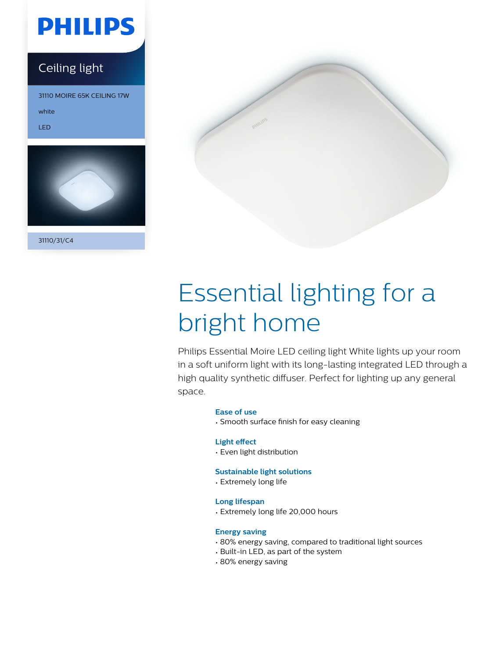# **PHILIPS**

### Ceiling light

31110 MOIRE 65K CEILING 17W

white LED



31110/31/C4



# Essential lighting for a bright home

Philips Essential Moire LED ceiling light White lights up your room in a soft uniform light with its long-lasting integrated LED through a high quality synthetic diffuser. Perfect for lighting up any general space.

#### **Ease of use**

• Smooth surface finish for easy cleaning

#### **Light effect**

• Even light distribution

#### **Sustainable light solutions**

• Extremely long life

#### **Long lifespan**

• Extremely long life 20,000 hours

#### **Energy saving**

- 80% energy saving, compared to traditional light sources
- Built-in LED, as part of the system
- 80% energy saving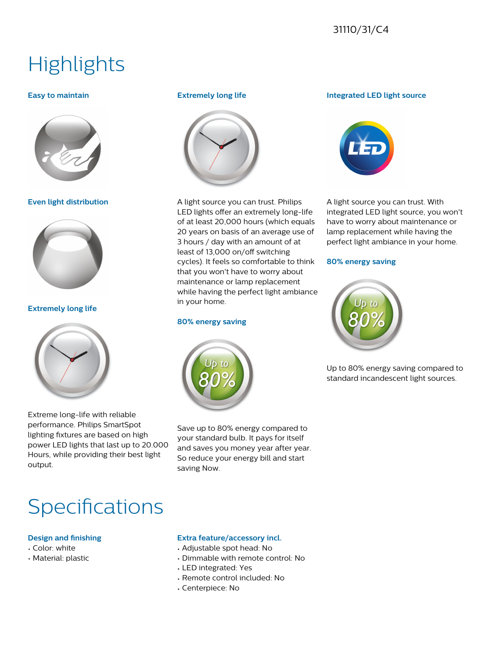### 31110/31/C4

## **Highlights**

#### **Easy to maintain**



**Even light distribution**



#### **Extremely long life**



Extreme long-life with reliable performance. Philips SmartSpot lighting fixtures are based on high power LED lights that last up to 20.000 Hours, while providing their best light output.

#### **Extremely long life**



A light source you can trust. Philips LED lights offer an extremely long-life of at least 20,000 hours (which equals 20 years on basis of an average use of 3 hours / day with an amount of at least of 13,000 on/off switching cycles). It feels so comfortable to think that you won't have to worry about maintenance or lamp replacement while having the perfect light ambiance in your home.

#### **80% energy saving**



Save up to 80% energy compared to your standard bulb. It pays for itself and saves you money year after year. So reduce your energy bill and start saving Now.

#### **Integrated LED light source**



A light source you can trust. With integrated LED light source, you won't have to worry about maintenance or lamp replacement while having the perfect light ambiance in your home.

#### **80% energy saving**



Up to 80% energy saving compared to standard incandescent light sources.

## **Specifications**

#### **Design and finishing**

- Color: white
- Material: plastic

#### **Extra feature/accessory incl.**

- Adjustable spot head: No
- Dimmable with remote control: No
- LED integrated: Yes
- Remote control included: No
- Centerpiece: No